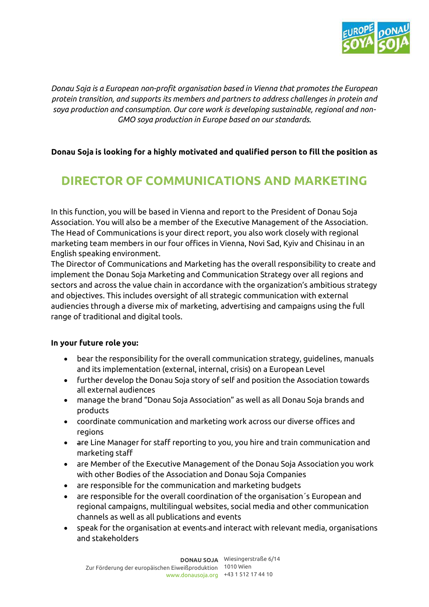

*Donau Soja is a European non-profit organisation based in Vienna that promotes the European protein transition, and supports its members and partners to address challenges in protein and soya production and consumption. Our core work is developing sustainable, regional and non-GMO soya production in Europe based on our standards.* 

# **Donau Soja is looking for a highly motivated and qualified person to fill the position as**

# **DIRECTOR OF COMMUNICATIONS AND MARKETING**

In this function, you will be based in Vienna and report to the President of Donau Soja Association. You will also be a member of the Executive Management of the Association. The Head of Communications is your direct report, you also work closely with regional marketing team members in our four offices in Vienna, Novi Sad, Kyiv and Chisinau in an English speaking environment.

The Director of Communications and Marketing has the overall responsibility to create and implement the Donau Soja Marketing and Communication Strategy over all regions and sectors and across the value chain in accordance with the organization's ambitious strategy and objectives. This includes oversight of all strategic communication with external audiencies through a diverse mix of marketing, advertising and campaigns using the full range of traditional and digital tools.

#### **In your future role you:**

- bear the responsibility for the overall communication strategy, guidelines, manuals and its implementation (external, internal, crisis) on a European Level
- further develop the Donau Soja story of self and position the Association towards all external audiences
- manage the brand "Donau Soja Association" as well as all Donau Soja brands and products
- coordinate communication and marketing work across our diverse offices and regions
- are Line Manager for staff reporting to you, you hire and train communication and marketing staff
- are Member of the Executive Management of the Donau Soja Association you work with other Bodies of the Association and Donau Soja Companies
- are responsible for the communication and marketing budgets
- are responsible for the overall coordination of the organisation´s European and regional campaigns, multilingual websites, social media and other communication channels as well as all publications and events
- speak for the organisation at events and interact with relevant media, organisations and stakeholders